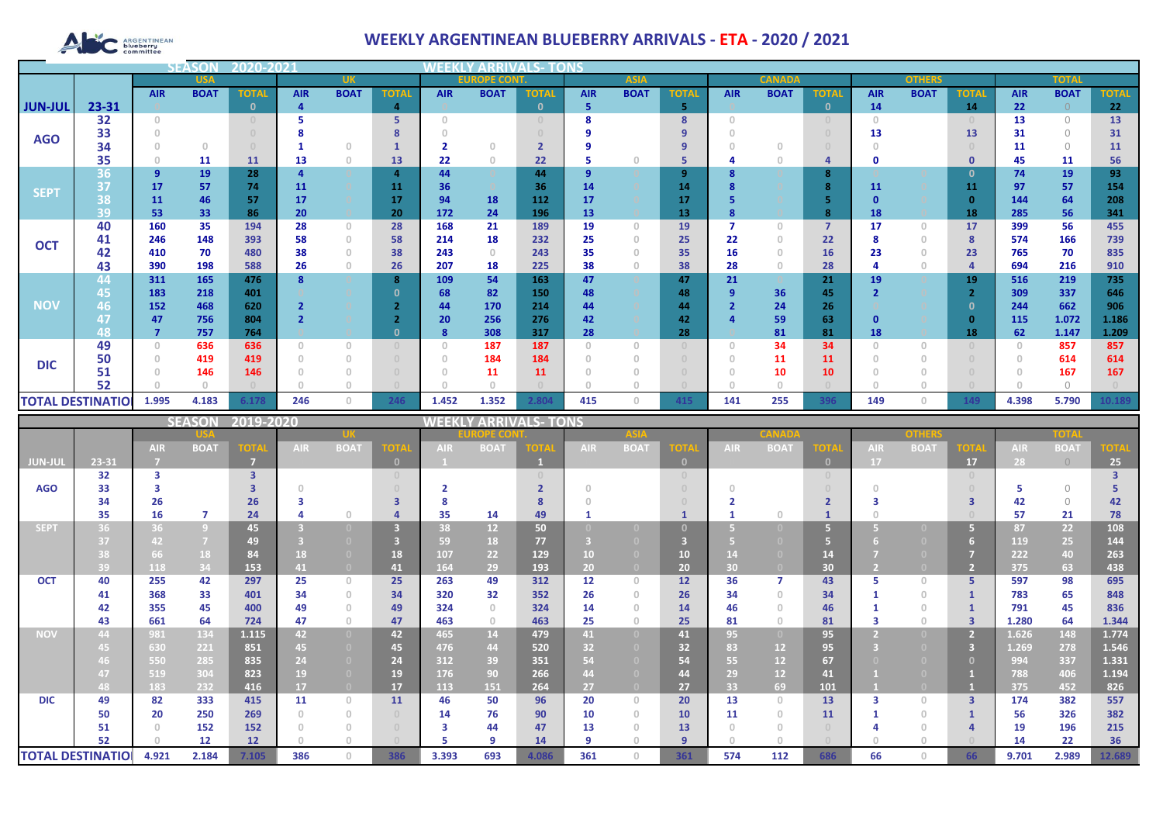# ARGENTINEAN

## **WEEKLY ARGENTINEAN BLUEBERRY ARRIVALS - ETA - 2020 / 2021**

|                |                          | <b>SEASOI</b> | 2020-202    |              |            |                                       |                |                                    |             |              |            |             |             |            |               |                |            |               |                 |              |              |              |
|----------------|--------------------------|---------------|-------------|--------------|------------|---------------------------------------|----------------|------------------------------------|-------------|--------------|------------|-------------|-------------|------------|---------------|----------------|------------|---------------|-----------------|--------------|--------------|--------------|
|                | <b>USA</b>               |               |             | <b>UK</b>    |            |                                       |                | <b>EUROPE CONT.</b><br><b>ASIA</b> |             |              |            |             |             |            | <b>CANADA</b> |                |            | <b>OTHERS</b> |                 | <b>TOTAI</b> |              |              |
|                |                          | <b>AIR</b>    | <b>BOAT</b> | <b>TOTAL</b> | <b>AIR</b> | <b>BOAT</b>                           | <b>TOTAL</b>   | <b>AIR</b>                         | <b>BOAT</b> | <b>TOTAL</b> | <b>AIR</b> | <b>BOAT</b> | <b>TOTA</b> | <b>AIR</b> | <b>BOAT</b>   | <b>TOTAL</b>   | <b>AIR</b> | <b>BOAT</b>   | <b>TOTAL</b>    | <b>AIR</b>   | <b>BOAT</b>  | <b>TOTAL</b> |
| <b>JUN-JUL</b> | 23-31                    |               |             |              |            |                                       | $\overline{a}$ |                                    |             | $\mathbf{0}$ | 5          |             | 5           |            |               | $\mathbf{0}$   | 14         |               | 14              | 22           |              | 22           |
|                | 32                       | $\Omega$      |             |              |            |                                       | 5              | $\cap$                             |             |              |            |             | 8           | $\Omega$   |               |                | $\Box$     |               |                 | 13           | $\bigcap$    | 13           |
| <b>AGO</b>     | 33                       |               |             |              |            |                                       |                |                                    |             |              |            |             |             |            |               |                | 13         |               | 13              | 31           | $\bigcap$    | 31           |
|                | 34                       |               | $\Omega$    |              |            | $\Omega$                              |                |                                    |             |              |            |             | 9           |            |               |                |            |               |                 | 11           | $\bigcap$    | 11           |
|                | 35                       |               | 11          | <b>11</b>    | 13         | $\theta$                              | 13             | 22                                 | $\circ$     | 22           |            |             | 5           |            |               | $\overline{a}$ | O          |               | 0               | 45           | 11           | 56           |
|                | 36                       | 9             | 19          | 28           |            |                                       | $\overline{a}$ | 44                                 |             | 44           | 9          |             | 9           |            |               | 8              |            |               | $\Omega$        | 74           | 19           | 93           |
| <b>SEPT</b>    | 37                       | 17            | 57          | 74           | 11         |                                       | 11             | 36                                 |             | 36           | 14         |             | 14          |            |               | $\mathbf{R}$   | 11         |               | 11              | 97           | 57           | 154          |
|                | 38                       | 11            | 46          | 57           | 17         |                                       | 17             | 94                                 | 18          | 112          | 17         |             | 17          |            |               |                |            |               | $\Omega$        | 144          | 64           | 208          |
|                | 39                       | 53            | 33          | 86           | 20         |                                       | 20             | 172                                | 24          | 196          | 13         |             | 13          |            |               | 8              | 18         |               | 18              | 285          | 56           | 341          |
|                | 40                       | 160           | 35          | 194          | 28         | $\circ$                               | 28             | 168                                | 21          | 189          | 19         | $\Omega$    | 19          |            | 0             | $\overline{7}$ | 17         | $\circ$       | 17              | 399          | 56           | 455          |
| <b>OCT</b>     | 41                       | 246           | 148         | 393          | 58         | $\theta$                              | 58             | 214                                | 18          | 232          | 25         |             | 25          | 22         |               | 22             |            | $\circ$       | 8               | 574          | 166          | 739          |
|                | 42                       | 410           | 70          | 480          | 38         | $\begin{array}{c} 0 \\ 0 \end{array}$ | 38             | 243                                | $\Omega$    | 243          | 35         |             | 35          | 16         |               | 16             | 23         | $\Omega$      | 23              | 765          | 70           | 835          |
|                | 43                       | 390           | 198         | 588          | 26         | $\begin{array}{c} 0 \\ 0 \end{array}$ | 26             | 207                                | 18          | 225          | 38         |             | 38          | 28         |               | 28             |            | Ω             |                 | 694          | 216          | 910          |
|                | 44                       | 311           | 165         | 476          | ន          |                                       | 8              | 109                                | 54          | 163          | 47         |             | 47          | 21         |               | 21             | 19         |               | 19              | 516          | 219          | 735          |
|                | 45                       | 183           | 218         | 401          |            |                                       |                | 68                                 | 82          | 150          | 48         |             | 48          | 9          | 36            | 45             |            |               |                 | 309          | 337          | 646          |
| <b>NOV</b>     | 46                       | 152           | 468         | 620          |            |                                       |                | 44                                 | 170         | 214          | 44         |             | 44          |            | 24            | 26             | n          |               | - 0<br>$\Omega$ | 244          | 662          | 906          |
|                | 48                       | 47            | 756<br>757  | 804<br>764   |            |                                       |                | 20                                 | 256<br>308  | 276<br>317   | 42<br>28   |             | 42          |            | 59<br>81      | 63<br>81       |            |               | 18              | 115          | 1.072        | 1.186        |
|                | 49                       |               | 636         | 636          |            | $\Omega$                              |                | 8<br>$\theta$                      | 187         | 187          | $\Omega$   |             | 28          |            | 34            | 34             | 18         |               |                 | 62           | 1.147<br>857 | 1.209<br>857 |
|                | 50                       |               | 419         | 419          |            | $\Omega$                              |                | $\Omega$                           | 184         | 184          | $\Omega$   |             |             |            | 11            | 11             |            |               |                 |              | 614          | 614          |
| <b>DIC</b>     | 51                       |               | 146         | 146          |            |                                       |                |                                    | 11          | 11           |            |             |             |            | 10            | 10             |            |               |                 |              | 167          | 167          |
|                | 52                       |               |             |              |            |                                       |                |                                    |             |              |            |             |             |            |               |                |            |               |                 |              |              |              |
|                |                          |               |             |              |            |                                       |                |                                    |             |              |            |             |             |            |               |                |            | 0             |                 |              |              |              |
|                | <b>TOTAL DESTINATIOL</b> | 1.995         | 4.183       | 6.178        | 246        | $\overline{0}$                        | 246            | 1.452                              | 1.352       | 2.804        | 415        | $\Omega$    | 415         | 141        | 255           | 396            | 149        |               | 149             | 4.398        | 5.790        | 10.189       |

|                          |       |            | <b>SEASON</b>  | 2019-2020               |            |                                       |              | <b>VEEKI</b> |                 | <b>/ ARRIVALS- TONS</b> |            |                |                |            |             |                                  |            |             |             |            |             |             |
|--------------------------|-------|------------|----------------|-------------------------|------------|---------------------------------------|--------------|--------------|-----------------|-------------------------|------------|----------------|----------------|------------|-------------|----------------------------------|------------|-------------|-------------|------------|-------------|-------------|
|                          |       |            |                |                         |            |                                       | DPE CO       |              |                 |                         |            |                |                |            | onhar       |                                  |            | TOTA        |             |            |             |             |
|                          |       | <b>AIR</b> | <b>BOAT</b>    | <b>TOTA</b>             | <b>AIR</b> | <b>BOAT</b>                           | <b>TOTA</b>  | <b>AIR</b>   | <b>BOAT</b>     | TOTA                    | <b>AIR</b> | <b>BOAT</b>    | <b>TOTA</b>    | <b>AIR</b> | <b>BOAT</b> | <b>TOTA</b>                      | <b>AIR</b> | <b>BOAT</b> | <b>TOTA</b> | <b>AIR</b> | <b>BOAT</b> | <b>TOTA</b> |
| JUN-JUI                  | 23-31 |            |                | m                       |            |                                       | $\mathbf{0}$ |              |                 |                         |            |                | $\mathbf{0}$   |            |             | $\mathbf{0}$                     | <b>17</b>  |             | 17          | 28         | $\bigcirc$  | 25          |
|                          | 32    | з          |                | $\overline{\mathbf{3}}$ |            |                                       |              |              |                 |                         |            |                |                |            |             | $\begin{array}{c} 0 \end{array}$ |            |             |             |            |             |             |
| <b>AGO</b>               | 33    |            |                |                         |            |                                       |              |              |                 |                         |            |                |                |            |             |                                  |            |             |             |            | $\bigcap$   |             |
|                          | 34    | 26         |                | 26                      |            |                                       | ₹            |              |                 |                         |            |                |                |            |             |                                  |            |             |             | 42         | $\bigcap$   | 42          |
|                          | 35    | 16         | 7              | 24                      |            | $\bigcap$                             |              | 35           | 14              | 49                      |            |                |                |            |             |                                  |            |             |             | 57         | 21          | 78          |
| <b>SEPT</b>              | 36    | 36         | $\overline{9}$ | 45                      |            |                                       | 3            | 38           | 12 <sup>2</sup> | 50                      |            |                |                |            |             | G                                |            |             |             | 87         | 22          | 108         |
|                          | 37    | 42         | $\overline{7}$ | 49                      |            |                                       |              | 59           | 18              | 77                      |            |                |                |            |             | 67                               |            |             |             | 119        | 25          | 144         |
|                          |       | 66         | 18             | 84                      | 18         | $\Box$                                | 18           | 107          | 22              | 129                     | 10         |                | 10             |            |             | 14                               |            |             |             | 222        | 40          | 263         |
|                          | 39    | 118        | 34             | 153                     | 41         | $\overline{0}$                        | 41           | 164          | 29              | 193                     | 20         |                | 20             | 30         |             | 30                               |            |             |             | 375        | 63          | 438         |
| <b>OCT</b>               | 40    | 255        | 42             | 297                     | 25         | $\Omega$                              | 25           | 263          | 49              | 312                     | 12         | $\Omega$       | 12             | 36         |             | 43                               |            | $\Box$      | 5.          | 597        | 98          | 695         |
|                          | 41    | 368        | 33             | 401                     | 34         | $\circ$                               | 34           | 320          | 32              | 352                     | 26         |                | 26             | 34         | $\cap$      | 34                               |            | $\cap$      |             | 783        | 65          | 848         |
|                          | 42    | 355        | 45             | 400                     | 49         | $\begin{array}{c} 0 \\ 0 \end{array}$ | 49           | 324          | $\Omega$        | 324                     | 14         |                | 14             | 46         |             | 46                               |            |             |             | 791        | 45          | 836         |
|                          | 43    | 661        | 64             | 724                     | 47         | $\begin{array}{c} 0 \\ 0 \end{array}$ | 47           | 463          | $\Omega$        | 463                     | 25         | $\Omega$       | 25             | 81         | 0.          | 81                               |            | $\cap$      |             | 1.280      | 64          | 1.344       |
| <b>NOV</b>               | 44    | 981        | 134            | 1.115                   | 42         | $\overline{0}$                        | 42           | 465          | 14              | 479                     | 41         | $\overline{0}$ | 41             | 95         |             | 95                               |            |             |             | 1.626      | 148         | 1.774       |
|                          | 45    | 630        | 221            | 851                     | 45         | $\Box$                                | 45           | 476          | 44              | 520                     | 32         |                | 32             | 83         | 12          | 95                               |            |             | в           | 1.269      | 278         | 1.546       |
|                          |       | 550        | 285            | 835                     | 24         | $\bullet$                             | 24           | 312          | 39              | 351                     | 54         |                | 54             | 55         | 12          | 67                               |            |             |             | 994        | 337         | 1.331       |
|                          | 47    | 519        | 304            | 823                     | 19         |                                       | 19           | 176          | 90              | 266                     | 44         |                | 44             | 29         | 12          | 41                               |            |             |             | 788        | 406         | 1.194       |
|                          | 48    | 183        | 232            | 416                     | 17         | $\overline{0}$                        | 17           | 113          | 151             | 264                     | 27         |                | 27             | 33         | 69          | 101                              |            |             |             | 375        | 452         | 826         |
| <b>DIC</b>               | 49    | 82         | 333            | 415                     | 11         | $\Omega$                              | 11           | 46           | 50              | 96                      | 20         | $\Box$         | 20             | 13         | $\cap$      | 13                               |            | $\Box$      | 3           | 174        | 382         | 557         |
|                          | 50    | 20         | 250            | 269                     |            | $\Omega$                              |              | 14           | 76              | 90                      | 10         | $\Omega$       | 10             | 11         | $\cap$      | 11                               |            | $\Box$      |             | 56         | 326         | 382         |
|                          | 51    |            | 152            | 152                     |            | $\Box$                                |              | з            | 44              | 47                      | 13         |                | 13             |            |             |                                  |            |             |             | 19         | 196         | 215         |
|                          | 52    |            | 12             | 12                      |            |                                       |              |              | $\circ$         | 14                      | q          |                | $\overline{9}$ |            |             |                                  |            |             |             | 14         | 22          | 36          |
| <b>TOTAL DESTINATIOI</b> |       | 4.921      | 2.184          | 7.105                   | 386        | $\Omega$                              | 386          | 3.393        | 693             | 4.086                   | 361        | $\Box$         | 361            | 574        | 112         | 686                              | 66         | $\cap$      | 66          | 9.701      | 2.989       | 12.689      |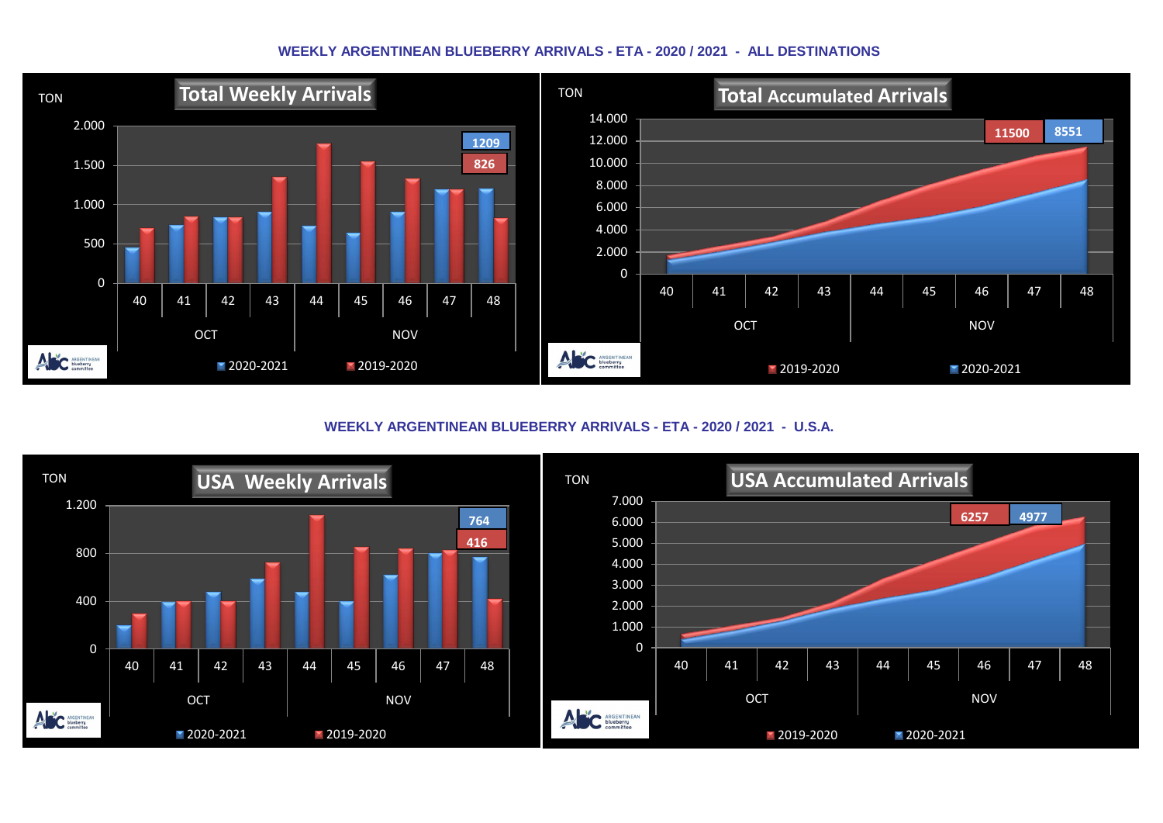#### **WEEKLY ARGENTINEAN BLUEBERRY ARRIVALS - ETA - 2020 / 2021 - ALL DESTINATIONS**



**WEEKLY ARGENTINEAN BLUEBERRY ARRIVALS - ETA - 2020 / 2021 - U.S.A.**

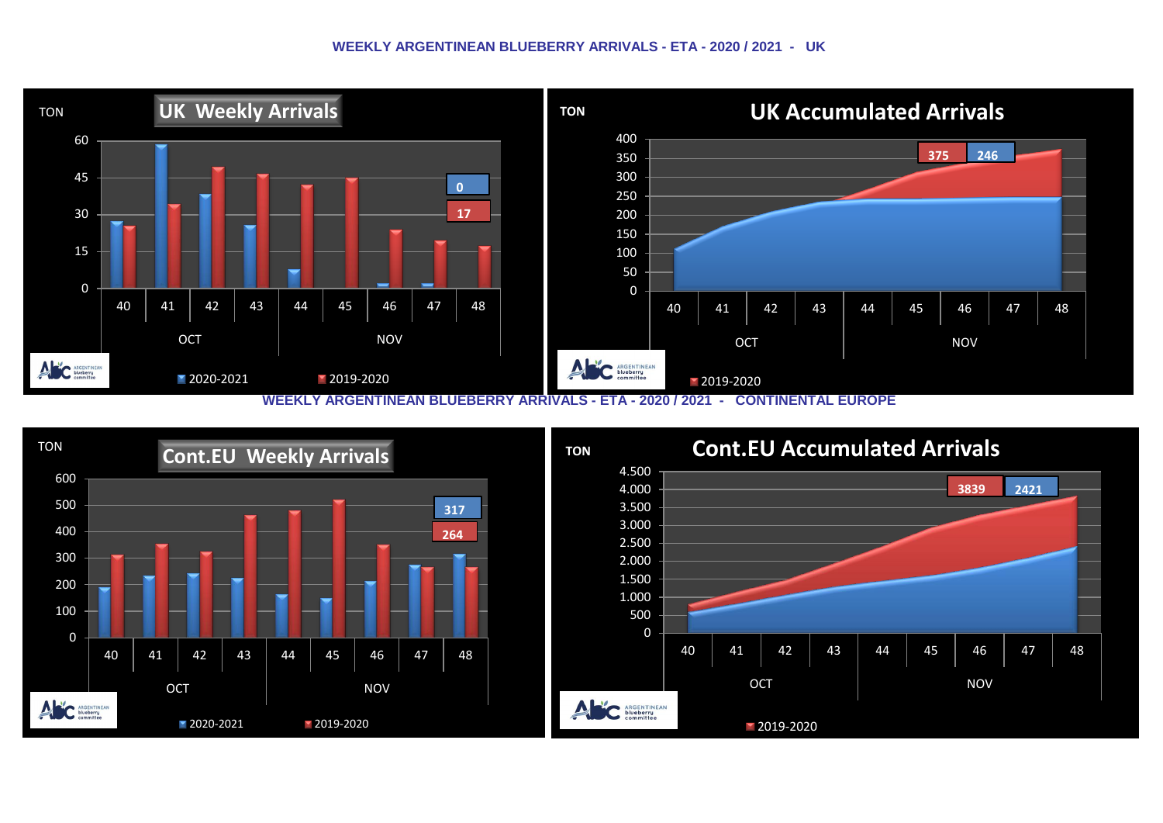#### **WEEKLY ARGENTINEAN BLUEBERRY ARRIVALS - ETA - 2020 / 2021 - UK**